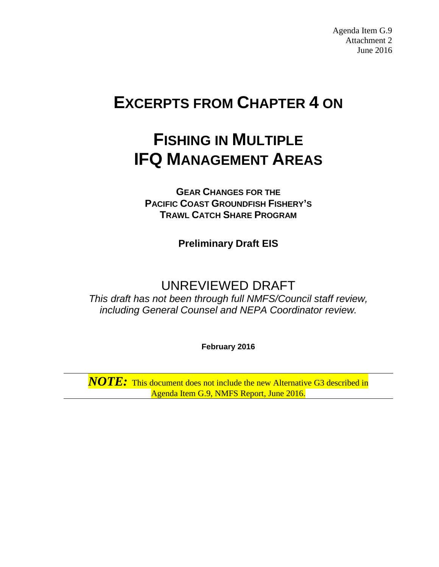Agenda Item G.9 Attachment 2 June 2016

# **EXCERPTS FROM CHAPTER 4 ON**

# **FISHING IN MULTIPLE IFQ MANAGEMENT AREAS**

**GEAR CHANGES FOR THE PACIFIC COAST GROUNDFISH FISHERY'S TRAWL CATCH SHARE PROGRAM**

**Preliminary Draft EIS**

# UNREVIEWED DRAFT

*This draft has not been through full NMFS/Council staff review, including General Counsel and NEPA Coordinator review.*

**February 2016**

*NOTE:* This document does not include the new Alternative G3 described in Agenda Item G.9, NMFS Report, June 2016.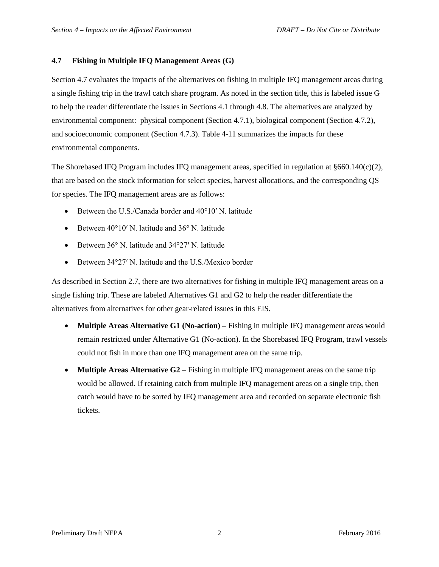#### **4.7 Fishing in Multiple IFQ Management Areas (G)**

Section 4.7 evaluates the impacts of the alternatives on fishing in multiple IFQ management areas during a single fishing trip in the trawl catch share program. As noted in the section title, this is labeled issue G to help the reader differentiate the issues in Sections 4.1 through 4.8. The alternatives are analyzed by environmental component: physical component (Section 4.7.1), biological component (Section 4.7.2), and socioeconomic component (Section 4.7.3). Table 4-11 summarizes the impacts for these environmental components.

The Shorebased IFQ Program includes IFQ management areas, specified in regulation at  $§660.140(c)(2)$ , that are based on the stock information for select species, harvest allocations, and the corresponding QS for species. The IFQ management areas are as follows:

- Between the U.S./Canada border and 40°10′ N. latitude
- Between 40°10′ N. latitude and 36° N. latitude
- Between 36° N. latitude and 34°27′ N. latitude
- Between 34°27′ N. latitude and the U.S./Mexico border

As described in Section 2.7, there are two alternatives for fishing in multiple IFQ management areas on a single fishing trip. These are labeled Alternatives G1 and G2 to help the reader differentiate the alternatives from alternatives for other gear-related issues in this EIS.

- **Multiple Areas Alternative G1 (No-action)** Fishing in multiple IFQ management areas would remain restricted under Alternative G1 (No-action). In the Shorebased IFQ Program, trawl vessels could not fish in more than one IFQ management area on the same trip.
- **Multiple Areas Alternative G2**  Fishing in multiple IFQ management areas on the same trip would be allowed. If retaining catch from multiple IFQ management areas on a single trip, then catch would have to be sorted by IFQ management area and recorded on separate electronic fish tickets.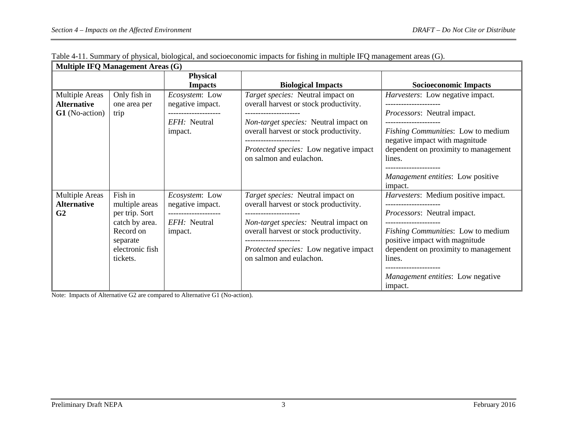| <b>Multiple IFQ Management Areas (G)</b>                             |                                                                                                                       |                                                                                       |                                                                                                                                                                                                                                            |                                                                                                                                                                                                                                                         |  |  |  |  |
|----------------------------------------------------------------------|-----------------------------------------------------------------------------------------------------------------------|---------------------------------------------------------------------------------------|--------------------------------------------------------------------------------------------------------------------------------------------------------------------------------------------------------------------------------------------|---------------------------------------------------------------------------------------------------------------------------------------------------------------------------------------------------------------------------------------------------------|--|--|--|--|
|                                                                      |                                                                                                                       | Physical<br><b>Impacts</b>                                                            | <b>Biological Impacts</b>                                                                                                                                                                                                                  | <b>Socioeconomic Impacts</b>                                                                                                                                                                                                                            |  |  |  |  |
| <b>Multiple Areas</b><br><b>Alternative</b><br><b>G1</b> (No-action) | Only fish in<br>one area per<br>trip                                                                                  | <i>Ecosystem:</i> Low<br>negative impact.<br>EFH: Neutral<br>impact.                  | Target species: Neutral impact on<br>overall harvest or stock productivity.<br>Non-target species: Neutral impact on<br>overall harvest or stock productivity.<br>Protected species: Low negative impact<br>on salmon and eulachon.        | <i>Harvesters:</i> Low negative impact.<br>Processors: Neutral impact.<br>Fishing Communities: Low to medium<br>negative impact with magnitude<br>dependent on proximity to management<br>lines.<br><i>Management entities:</i> Low positive<br>impact. |  |  |  |  |
| <b>Multiple Areas</b><br><b>Alternative</b><br>G <sub>2</sub>        | Fish in<br>multiple areas<br>per trip. Sort<br>catch by area.<br>Record on<br>separate<br>electronic fish<br>tickets. | Ecosystem: Low<br>negative impact.<br>--------------------<br>EFH: Neutral<br>impact. | Target species: Neutral impact on<br>overall harvest or stock productivity.<br>Non-target species: Neutral impact on<br>overall harvest or stock productivity.<br><i>Protected species:</i> Low negative impact<br>on salmon and eulachon. | Harvesters: Medium positive impact.<br>Processors: Neutral impact.<br><i>Fishing Communities:</i> Low to medium<br>positive impact with magnitude<br>dependent on proximity to management<br>lines.<br>Management entities: Low negative<br>impact.     |  |  |  |  |

|  |  |  | Table 4-11. Summary of physical, biological, and socioeconomic impacts for fishing in multiple IFQ management areas (G). |
|--|--|--|--------------------------------------------------------------------------------------------------------------------------|
|  |  |  |                                                                                                                          |
|  |  |  |                                                                                                                          |

Note: Impacts of Alternative G2 are compared to Alternative G1 (No-action).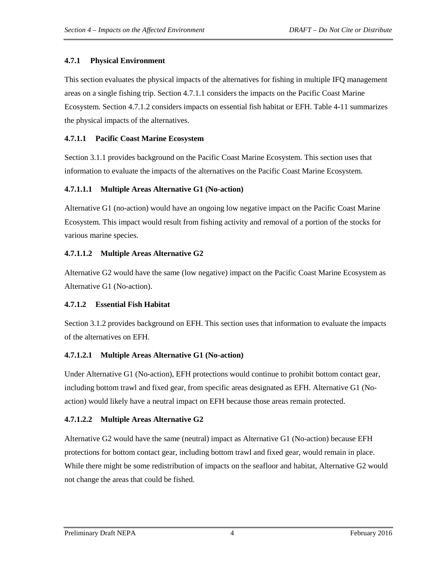# **4.7.1 Physical Environment**

This section evaluates the physical impacts of the alternatives for fishing in multiple IFQ management areas on a single fishing trip. Section 4.7.1.1 considers the impacts on the Pacific Coast Marine Ecosystem. Section 4.7.1.2 considers impacts on essential fish habitat or EFH. Table 4-11 summarizes the physical impacts of the alternatives.

# **4.7.1.1 Pacific Coast Marine Ecosystem**

Section 3.1.1 provides background on the Pacific Coast Marine Ecosystem. This section uses that information to evaluate the impacts of the alternatives on the Pacific Coast Marine Ecosystem.

# **4.7.1.1.1 Multiple Areas Alternative G1 (No-action)**

Alternative G1 (no-action) would have an ongoing low negative impact on the Pacific Coast Marine Ecosystem. This impact would result from fishing activity and removal of a portion of the stocks for various marine species.

# **4.7.1.1.2 Multiple Areas Alternative G2**

Alternative G2 would have the same (low negative) impact on the Pacific Coast Marine Ecosystem as Alternative G1 (No-action).

# **4.7.1.2 Essential Fish Habitat**

Section 3.1.2 provides background on EFH. This section uses that information to evaluate the impacts of the alternatives on EFH.

# **4.7.1.2.1 Multiple Areas Alternative G1 (No-action)**

Under Alternative G1 (No-action), EFH protections would continue to prohibit bottom contact gear, including bottom trawl and fixed gear, from specific areas designated as EFH. Alternative G1 (Noaction) would likely have a neutral impact on EFH because those areas remain protected.

# **4.7.1.2.2 Multiple Areas Alternative G2**

Alternative G2 would have the same (neutral) impact as Alternative G1 (No-action) because EFH protections for bottom contact gear, including bottom trawl and fixed gear, would remain in place. While there might be some redistribution of impacts on the seafloor and habitat, Alternative G2 would not change the areas that could be fished.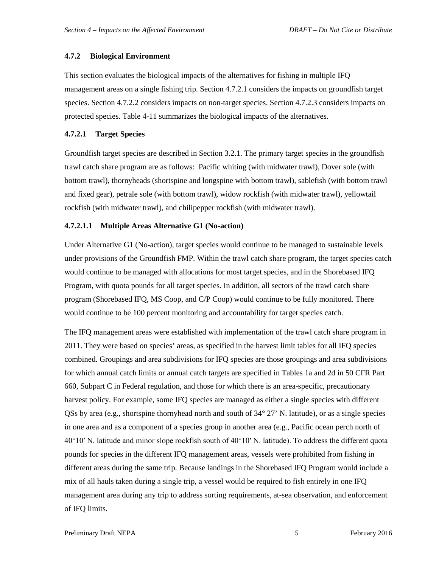#### **4.7.2 Biological Environment**

This section evaluates the biological impacts of the alternatives for fishing in multiple IFQ management areas on a single fishing trip. Section 4.7.2.1 considers the impacts on groundfish target species. Section 4.7.2.2 considers impacts on non-target species. Section 4.7.2.3 considers impacts on protected species. Table 4-11 summarizes the biological impacts of the alternatives.

#### **4.7.2.1 Target Species**

Groundfish target species are described in Section 3.2.1. The primary target species in the groundfish trawl catch share program are as follows: Pacific whiting (with midwater trawl), Dover sole (with bottom trawl), thornyheads (shortspine and longspine with bottom trawl), sablefish (with bottom trawl and fixed gear), petrale sole (with bottom trawl), widow rockfish (with midwater trawl), yellowtail rockfish (with midwater trawl), and chilipepper rockfish (with midwater trawl).

#### **4.7.2.1.1 Multiple Areas Alternative G1 (No-action)**

Under Alternative G1 (No-action), target species would continue to be managed to sustainable levels under provisions of the Groundfish FMP. Within the trawl catch share program, the target species catch would continue to be managed with allocations for most target species, and in the Shorebased IFQ Program, with quota pounds for all target species. In addition, all sectors of the trawl catch share program (Shorebased IFQ, MS Coop, and C/P Coop) would continue to be fully monitored. There would continue to be 100 percent monitoring and accountability for target species catch.

The IFQ management areas were established with implementation of the trawl catch share program in 2011. They were based on species' areas, as specified in the harvest limit tables for all IFQ species combined. Groupings and area subdivisions for IFQ species are those groupings and area subdivisions for which annual catch limits or annual catch targets are specified in Tables 1a and 2d in 50 CFR Part 660, Subpart C in Federal regulation, and those for which there is an area-specific, precautionary harvest policy. For example, some IFQ species are managed as either a single species with different QSs by area (e.g., shortspine thornyhead north and south of 34° 27' N. latitude), or as a single species in one area and as a component of a species group in another area (e.g., Pacific ocean perch north of 40°10′ N. latitude and minor slope rockfish south of 40°10′ N. latitude). To address the different quota pounds for species in the different IFQ management areas, vessels were prohibited from fishing in different areas during the same trip. Because landings in the Shorebased IFQ Program would include a mix of all hauls taken during a single trip, a vessel would be required to fish entirely in one IFQ management area during any trip to address sorting requirements, at-sea observation, and enforcement of IFQ limits.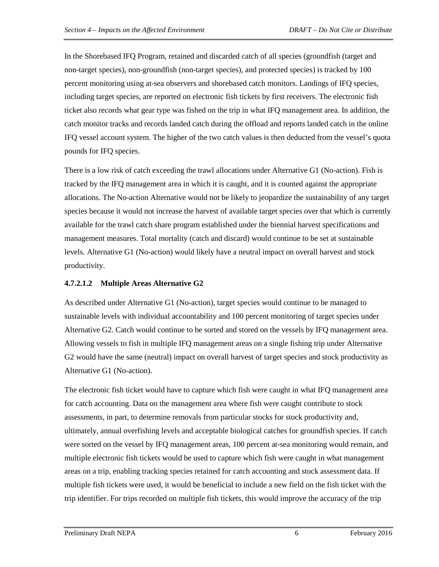In the Shorebased IFQ Program, retained and discarded catch of all species (groundfish (target and non-target species), non-groundfish (non-target species), and protected species) is tracked by 100 percent monitoring using at-sea observers and shorebased catch monitors. Landings of IFQ species, including target species, are reported on electronic fish tickets by first receivers. The electronic fish ticket also records what gear type was fished on the trip in what IFQ management area. In addition, the catch monitor tracks and records landed catch during the offload and reports landed catch in the online IFQ vessel account system. The higher of the two catch values is then deducted from the vessel's quota pounds for IFQ species.

There is a low risk of catch exceeding the trawl allocations under Alternative G1 (No-action). Fish is tracked by the IFQ management area in which it is caught, and it is counted against the appropriate allocations. The No-action Alternative would not be likely to jeopardize the sustainability of any target species because it would not increase the harvest of available target species over that which is currently available for the trawl catch share program established under the biennial harvest specifications and management measures. Total mortality (catch and discard) would continue to be set at sustainable levels. Alternative G1 (No-action) would likely have a neutral impact on overall harvest and stock productivity.

#### **4.7.2.1.2 Multiple Areas Alternative G2**

As described under Alternative G1 (No-action), target species would continue to be managed to sustainable levels with individual accountability and 100 percent monitoring of target species under Alternative G2. Catch would continue to be sorted and stored on the vessels by IFQ management area. Allowing vessels to fish in multiple IFQ management areas on a single fishing trip under Alternative G2 would have the same (neutral) impact on overall harvest of target species and stock productivity as Alternative G1 (No-action).

The electronic fish ticket would have to capture which fish were caught in what IFQ management area for catch accounting. Data on the management area where fish were caught contribute to stock assessments, in part, to determine removals from particular stocks for stock productivity and, ultimately, annual overfishing levels and acceptable biological catches for groundfish species. If catch were sorted on the vessel by IFQ management areas, 100 percent at-sea monitoring would remain, and multiple electronic fish tickets would be used to capture which fish were caught in what management areas on a trip, enabling tracking species retained for catch accounting and stock assessment data. If multiple fish tickets were used, it would be beneficial to include a new field on the fish ticket with the trip identifier. For trips recorded on multiple fish tickets, this would improve the accuracy of the trip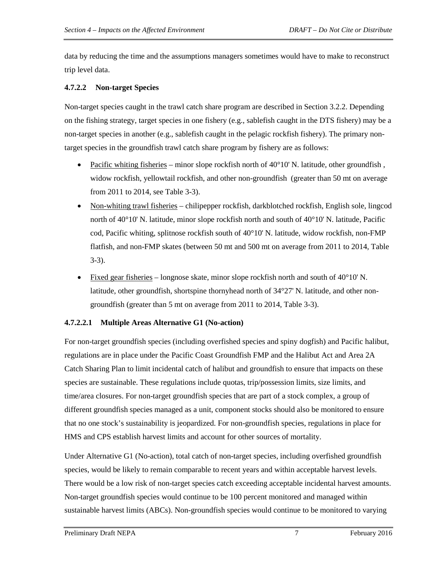data by reducing the time and the assumptions managers sometimes would have to make to reconstruct trip level data.

#### **4.7.2.2 Non-target Species**

Non-target species caught in the trawl catch share program are described in Section 3.2.2. Depending on the fishing strategy, target species in one fishery (e.g., sablefish caught in the DTS fishery) may be a non-target species in another (e.g., sablefish caught in the pelagic rockfish fishery). The primary nontarget species in the groundfish trawl catch share program by fishery are as follows:

- Pacific whiting fisheries minor slope rockfish north of  $40^{\circ}10'$  N. latitude, other groundfish, widow rockfish, yellowtail rockfish, and other non-groundfish (greater than 50 mt on average from 2011 to 2014, see Table 3-3).
- Non-whiting trawl fisheries chilipepper rockfish, darkblotched rockfish, English sole, lingcod north of  $40^{\circ}10'$  N. latitude, minor slope rockfish north and south of  $40^{\circ}10'$  N. latitude, Pacific cod, Pacific whiting, splitnose rockfish south of  $40^{\circ}10'$  N. latitude, widow rockfish, non-FMP flatfish, and non-FMP skates (between 50 mt and 500 mt on average from 2011 to 2014, Table 3-3).
- Fixed gear fisheries longnose skate, minor slope rockfish north and south of 40°10' N. latitude, other groundfish, shortspine thornyhead north of 34°27' N. latitude, and other nongroundfish (greater than 5 mt on average from 2011 to 2014, Table 3-3).

#### **4.7.2.2.1 Multiple Areas Alternative G1 (No-action)**

For non-target groundfish species (including overfished species and spiny dogfish) and Pacific halibut, regulations are in place under the Pacific Coast Groundfish FMP and the Halibut Act and Area 2A Catch Sharing Plan to limit incidental catch of halibut and groundfish to ensure that impacts on these species are sustainable. These regulations include quotas, trip/possession limits, size limits, and time/area closures. For non-target groundfish species that are part of a stock complex, a group of different groundfish species managed as a unit, component stocks should also be monitored to ensure that no one stock's sustainability is jeopardized. For non-groundfish species, regulations in place for HMS and CPS establish harvest limits and account for other sources of mortality.

Under Alternative G1 (No-action), total catch of non-target species, including overfished groundfish species, would be likely to remain comparable to recent years and within acceptable harvest levels. There would be a low risk of non-target species catch exceeding acceptable incidental harvest amounts. Non-target groundfish species would continue to be 100 percent monitored and managed within sustainable harvest limits (ABCs). Non-groundfish species would continue to be monitored to varying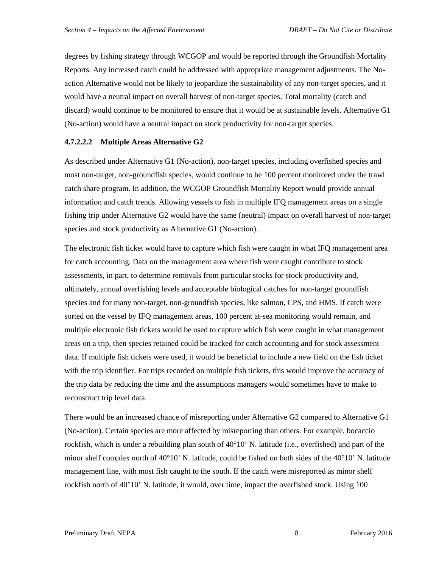degrees by fishing strategy through WCGOP and would be reported through the Groundfish Mortality Reports. Any increased catch could be addressed with appropriate management adjustments. The Noaction Alternative would not be likely to jeopardize the sustainability of any non-target species, and it would have a neutral impact on overall harvest of non-target species. Total mortality (catch and discard) would continue to be monitored to ensure that it would be at sustainable levels. Alternative G1 (No-action) would have a neutral impact on stock productivity for non-target species.

#### **4.7.2.2.2 Multiple Areas Alternative G2**

As described under Alternative G1 (No-action), non-target species, including overfished species and most non-target, non-groundfish species, would continue to be 100 percent monitored under the trawl catch share program. In addition, the WCGOP Groundfish Mortality Report would provide annual information and catch trends. Allowing vessels to fish in multiple IFQ management areas on a single fishing trip under Alternative G2 would have the same (neutral) impact on overall harvest of non-target species and stock productivity as Alternative G1 (No-action).

The electronic fish ticket would have to capture which fish were caught in what IFQ management area for catch accounting. Data on the management area where fish were caught contribute to stock assessments, in part, to determine removals from particular stocks for stock productivity and, ultimately, annual overfishing levels and acceptable biological catches for non-target groundfish species and for many non-target, non-groundfish species, like salmon, CPS, and HMS. If catch were sorted on the vessel by IFQ management areas, 100 percent at-sea monitoring would remain, and multiple electronic fish tickets would be used to capture which fish were caught in what management areas on a trip, then species retained could be tracked for catch accounting and for stock assessment data. If multiple fish tickets were used, it would be beneficial to include a new field on the fish ticket with the trip identifier. For trips recorded on multiple fish tickets, this would improve the accuracy of the trip data by reducing the time and the assumptions managers would sometimes have to make to reconstruct trip level data.

There would be an increased chance of misreporting under Alternative G2 compared to Alternative G1 (No-action). Certain species are more affected by misreporting than others. For example, bocaccio rockfish, which is under a rebuilding plan south of  $40^{\circ}10'$  N. latitude (i.e., overfished) and part of the minor shelf complex north of  $40^{\circ}10'$  N. latitude, could be fished on both sides of the  $40^{\circ}10'$  N. latitude management line, with most fish caught to the south. If the catch were misreported as minor shelf rockfish north of 40°10' N. latitude, it would, over time, impact the overfished stock. Using 100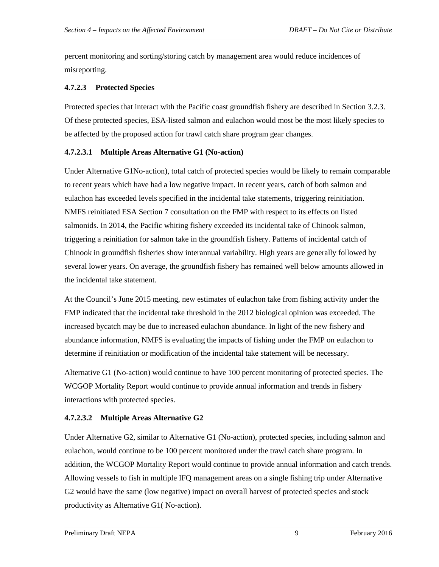percent monitoring and sorting/storing catch by management area would reduce incidences of misreporting.

#### **4.7.2.3 Protected Species**

Protected species that interact with the Pacific coast groundfish fishery are described in Section 3.2.3. Of these protected species, ESA-listed salmon and eulachon would most be the most likely species to be affected by the proposed action for trawl catch share program gear changes.

#### **4.7.2.3.1 Multiple Areas Alternative G1 (No-action)**

Under Alternative G1No-action), total catch of protected species would be likely to remain comparable to recent years which have had a low negative impact. In recent years, catch of both salmon and eulachon has exceeded levels specified in the incidental take statements, triggering reinitiation. NMFS reinitiated ESA Section 7 consultation on the FMP with respect to its effects on listed salmonids. In 2014, the Pacific whiting fishery exceeded its incidental take of Chinook salmon, triggering a reinitiation for salmon take in the groundfish fishery. Patterns of incidental catch of Chinook in groundfish fisheries show interannual variability. High years are generally followed by several lower years. On average, the groundfish fishery has remained well below amounts allowed in the incidental take statement.

At the Council's June 2015 meeting, new estimates of eulachon take from fishing activity under the FMP indicated that the incidental take threshold in the 2012 biological opinion was exceeded. The increased bycatch may be due to increased eulachon abundance. In light of the new fishery and abundance information, NMFS is evaluating the impacts of fishing under the FMP on eulachon to determine if reinitiation or modification of the incidental take statement will be necessary.

Alternative G1 (No-action) would continue to have 100 percent monitoring of protected species. The WCGOP Mortality Report would continue to provide annual information and trends in fishery interactions with protected species.

#### **4.7.2.3.2 Multiple Areas Alternative G2**

Under Alternative G2, similar to Alternative G1 (No-action), protected species, including salmon and eulachon, would continue to be 100 percent monitored under the trawl catch share program. In addition, the WCGOP Mortality Report would continue to provide annual information and catch trends. Allowing vessels to fish in multiple IFQ management areas on a single fishing trip under Alternative G2 would have the same (low negative) impact on overall harvest of protected species and stock productivity as Alternative G1( No-action).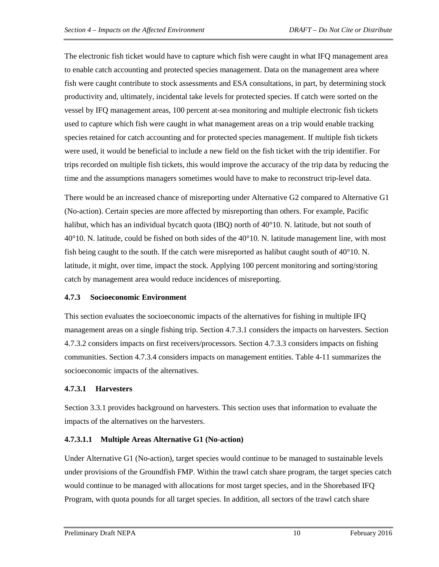The electronic fish ticket would have to capture which fish were caught in what IFQ management area to enable catch accounting and protected species management. Data on the management area where fish were caught contribute to stock assessments and ESA consultations, in part, by determining stock productivity and, ultimately, incidental take levels for protected species. If catch were sorted on the vessel by IFQ management areas, 100 percent at-sea monitoring and multiple electronic fish tickets used to capture which fish were caught in what management areas on a trip would enable tracking species retained for catch accounting and for protected species management. If multiple fish tickets were used, it would be beneficial to include a new field on the fish ticket with the trip identifier. For trips recorded on multiple fish tickets, this would improve the accuracy of the trip data by reducing the time and the assumptions managers sometimes would have to make to reconstruct trip-level data.

There would be an increased chance of misreporting under Alternative G2 compared to Alternative G1 (No-action). Certain species are more affected by misreporting than others. For example, Pacific halibut, which has an individual bycatch quota (IBQ) north of 40°10. N. latitude, but not south of  $40^{\circ}10$ . N. latitude, could be fished on both sides of the  $40^{\circ}10$ . N. latitude management line, with most fish being caught to the south. If the catch were misreported as halibut caught south of  $40^{\circ}10$ . N. latitude, it might, over time, impact the stock. Applying 100 percent monitoring and sorting/storing catch by management area would reduce incidences of misreporting.

#### **4.7.3 Socioeconomic Environment**

This section evaluates the socioeconomic impacts of the alternatives for fishing in multiple IFQ management areas on a single fishing trip. Section 4.7.3.1 considers the impacts on harvesters. Section 4.7.3.2 considers impacts on first receivers/processors. Section 4.7.3.3 considers impacts on fishing communities. Section 4.7.3.4 considers impacts on management entities. Table 4-11 summarizes the socioeconomic impacts of the alternatives.

#### **4.7.3.1 Harvesters**

Section 3.3.1 provides background on harvesters. This section uses that information to evaluate the impacts of the alternatives on the harvesters.

#### **4.7.3.1.1 Multiple Areas Alternative G1 (No-action)**

Under Alternative G1 (No-action), target species would continue to be managed to sustainable levels under provisions of the Groundfish FMP. Within the trawl catch share program, the target species catch would continue to be managed with allocations for most target species, and in the Shorebased IFQ Program, with quota pounds for all target species. In addition, all sectors of the trawl catch share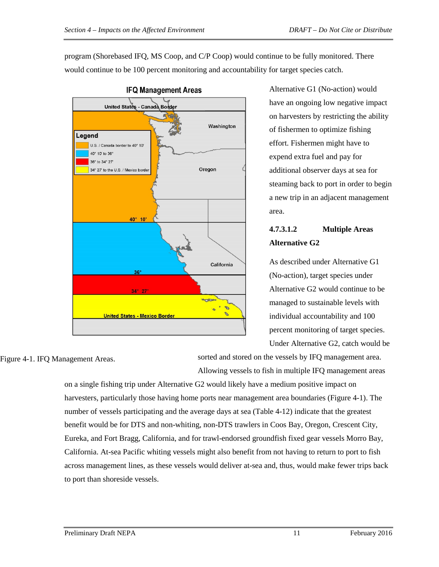program (Shorebased IFQ, MS Coop, and C/P Coop) would continue to be fully monitored. There would continue to be 100 percent monitoring and accountability for target species catch.



Alternative G1 (No-action) would have an ongoing low negative impact on harvesters by restricting the ability of fishermen to optimize fishing effort. Fishermen might have to expend extra fuel and pay for additional observer days at sea for steaming back to port in order to begin a new trip in an adjacent management area.

# **4.7.3.1.2 Multiple Areas Alternative G2**

As described under Alternative G1 (No-action), target species under Alternative G2 would continue to be managed to sustainable levels with individual accountability and 100 percent monitoring of target species. Under Alternative G2, catch would be

Figure 4-1. IFQ Management Areas.

sorted and stored on the vessels by IFQ management area. Allowing vessels to fish in multiple IFQ management areas

on a single fishing trip under Alternative G2 would likely have a medium positive impact on harvesters, particularly those having home ports near management area boundaries (Figure 4-1). The number of vessels participating and the average days at sea (Table 4-12) indicate that the greatest benefit would be for DTS and non-whiting, non-DTS trawlers in Coos Bay, Oregon, Crescent City, Eureka, and Fort Bragg, California, and for trawl-endorsed groundfish fixed gear vessels Morro Bay, California. At-sea Pacific whiting vessels might also benefit from not having to return to port to fish across management lines, as these vessels would deliver at-sea and, thus, would make fewer trips back to port than shoreside vessels.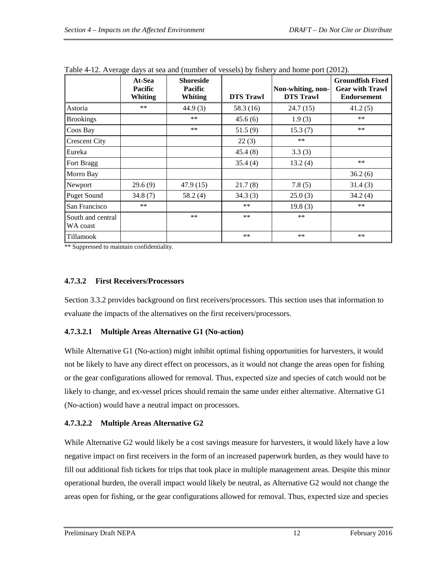|                               | At-Sea<br><b>Pacific</b><br><b>Whiting</b> | <b>Shoreside</b><br><b>Pacific</b><br><b>Whiting</b> | $\cdots$ , $\cdot$ , $\cdot$ , $\cdots$ , $\cdot$ , $\cdot$<br><b>DTS</b> Trawl | Non-whiting, non-<br><b>DTS Trawl</b> | <b>Groundfish Fixed</b><br><b>Gear with Trawl</b><br><b>Endorsement</b> |
|-------------------------------|--------------------------------------------|------------------------------------------------------|---------------------------------------------------------------------------------|---------------------------------------|-------------------------------------------------------------------------|
| Astoria                       | **                                         | 44.9(3)                                              | 58.3 (16)                                                                       | 24.7(15)                              | 41.2(5)                                                                 |
| <b>Brookings</b>              |                                            | $***$                                                | 45.6(6)                                                                         | 1.9(3)                                | $***$                                                                   |
| Coos Bay                      |                                            | **                                                   | 51.5(9)                                                                         | 15.3(7)                               | **                                                                      |
| <b>Crescent City</b>          |                                            |                                                      | 22(3)                                                                           | $**$                                  |                                                                         |
| Eureka                        |                                            |                                                      | 45.4(8)                                                                         | 3.3(3)                                |                                                                         |
| Fort Bragg                    |                                            |                                                      | 35.4(4)                                                                         | 13.2(4)                               | $***$                                                                   |
| Morro Bay                     |                                            |                                                      |                                                                                 |                                       | 36.2(6)                                                                 |
| Newport                       | 29.6(9)                                    | 47.9(15)                                             | 21.7(8)                                                                         | 7.8(5)                                | 31.4(3)                                                                 |
| <b>Puget Sound</b>            | 34.8(7)                                    | 58.2(4)                                              | 34.3(3)                                                                         | 25.0(3)                               | 34.2(4)                                                                 |
| San Francisco                 | **                                         |                                                      | **                                                                              | 19.8(3)                               | **                                                                      |
| South and central<br>WA coast |                                            | **                                                   | **                                                                              | **                                    |                                                                         |
| Tillamook                     |                                            |                                                      | **                                                                              | **                                    | **                                                                      |

Table 4-12. Average days at sea and (number of vessels) by fishery and home port (2012).

\*\* Suppressed to maintain confidentiality.

#### **4.7.3.2 First Receivers/Processors**

Section 3.3.2 provides background on first receivers/processors. This section uses that information to evaluate the impacts of the alternatives on the first receivers/processors.

#### **4.7.3.2.1 Multiple Areas Alternative G1 (No-action)**

While Alternative G1 (No-action) might inhibit optimal fishing opportunities for harvesters, it would not be likely to have any direct effect on processors, as it would not change the areas open for fishing or the gear configurations allowed for removal. Thus, expected size and species of catch would not be likely to change, and ex-vessel prices should remain the same under either alternative. Alternative G1 (No-action) would have a neutral impact on processors.

#### **4.7.3.2.2 Multiple Areas Alternative G2**

While Alternative G2 would likely be a cost savings measure for harvesters, it would likely have a low negative impact on first receivers in the form of an increased paperwork burden, as they would have to fill out additional fish tickets for trips that took place in multiple management areas. Despite this minor operational burden, the overall impact would likely be neutral, as Alternative G2 would not change the areas open for fishing, or the gear configurations allowed for removal. Thus, expected size and species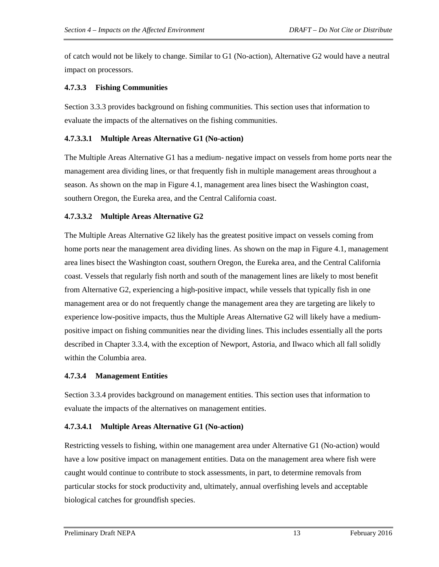of catch would not be likely to change. Similar to G1 (No-action), Alternative G2 would have a neutral impact on processors.

#### **4.7.3.3 Fishing Communities**

Section 3.3.3 provides background on fishing communities. This section uses that information to evaluate the impacts of the alternatives on the fishing communities.

#### **4.7.3.3.1 Multiple Areas Alternative G1 (No-action)**

The Multiple Areas Alternative G1 has a medium- negative impact on vessels from home ports near the management area dividing lines, or that frequently fish in multiple management areas throughout a season. As shown on the map in Figure 4.1, management area lines bisect the Washington coast, southern Oregon, the Eureka area, and the Central California coast.

#### **4.7.3.3.2 Multiple Areas Alternative G2**

The Multiple Areas Alternative G2 likely has the greatest positive impact on vessels coming from home ports near the management area dividing lines. As shown on the map in Figure 4.1, management area lines bisect the Washington coast, southern Oregon, the Eureka area, and the Central California coast. Vessels that regularly fish north and south of the management lines are likely to most benefit from Alternative G2, experiencing a high-positive impact, while vessels that typically fish in one management area or do not frequently change the management area they are targeting are likely to experience low-positive impacts, thus the Multiple Areas Alternative G2 will likely have a mediumpositive impact on fishing communities near the dividing lines. This includes essentially all the ports described in Chapter 3.3.4, with the exception of Newport, Astoria, and Ilwaco which all fall solidly within the Columbia area.

#### **4.7.3.4 Management Entities**

Section 3.3.4 provides background on management entities. This section uses that information to evaluate the impacts of the alternatives on management entities.

#### **4.7.3.4.1 Multiple Areas Alternative G1 (No-action)**

Restricting vessels to fishing, within one management area under Alternative G1 (No-action) would have a low positive impact on management entities. Data on the management area where fish were caught would continue to contribute to stock assessments, in part, to determine removals from particular stocks for stock productivity and, ultimately, annual overfishing levels and acceptable biological catches for groundfish species.